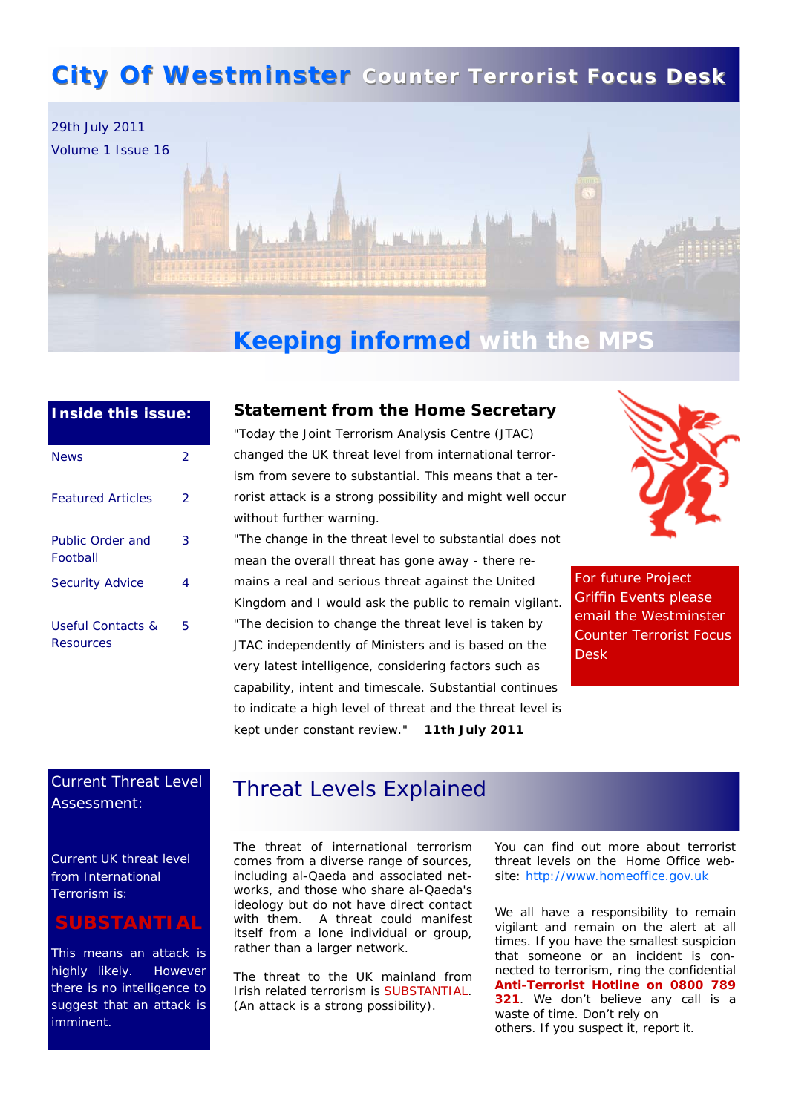# **City Of Westminster** Counter Terrorist Focus Desk



# **Keeping informed with the MPS**

| <b>Inside this issue:</b>                 |   |
|-------------------------------------------|---|
| <b>News</b>                               | 2 |
| <b>Featured Articles</b>                  | 2 |
| Public Order and<br>Football              | 3 |
| <b>Security Advice</b>                    | 4 |
| <b>Useful Contacts &amp;</b><br>Resources | 5 |

### **Statement from the Home Secretary**

"Today the Joint Terrorism Analysis Centre (JTAC) changed the UK threat level from international terrorism from severe to substantial. This means that a terrorist attack is a strong possibility and might well occur without further warning.

"The change in the threat level to substantial does not mean the overall threat has gone away - there remains a real and serious threat against the United Kingdom and I would ask the public to remain vigilant. "The decision to change the threat level is taken by JTAC independently of Ministers and is based on the very latest intelligence, considering factors such as capability, intent and timescale. Substantial continues to indicate a high level of threat and the threat level is kept under constant review." **11th July 2011**



For future Project Griffin Events please email the Westminster Counter Terrorist Focus Desk

## Current Threat Level Assessment:

Current UK threat level from International Terrorism is:

## **SUBSTANTIAL**

This means an attack is highly likely. However there is no intelligence to suggest that an attack is imminent.

## Threat Levels Explained

The threat of international terrorism comes from a diverse range of sources, including al-Qaeda and associated networks, and those who share al-Qaeda's ideology but do not have direct contact with them. A threat could manifest itself from a lone individual or group, rather than a larger network.

The threat to the UK mainland from Irish related terrorism is SUBSTANTIAL. (An attack is a strong possibility).

You can find out more about terrorist threat levels on the Home Office website: [http://www.homeoffice.gov.uk](http://www.homeoffice.gov.uk/)

We all have a responsibility to remain vigilant and remain on the alert at all times. If you have the smallest suspicion that someone or an incident is connected to terrorism, ring the confidential **Anti-Terrorist Hotline on 0800 789 321**. We don't believe any call is a waste of time. Don't rely on others. If you suspect it, report it.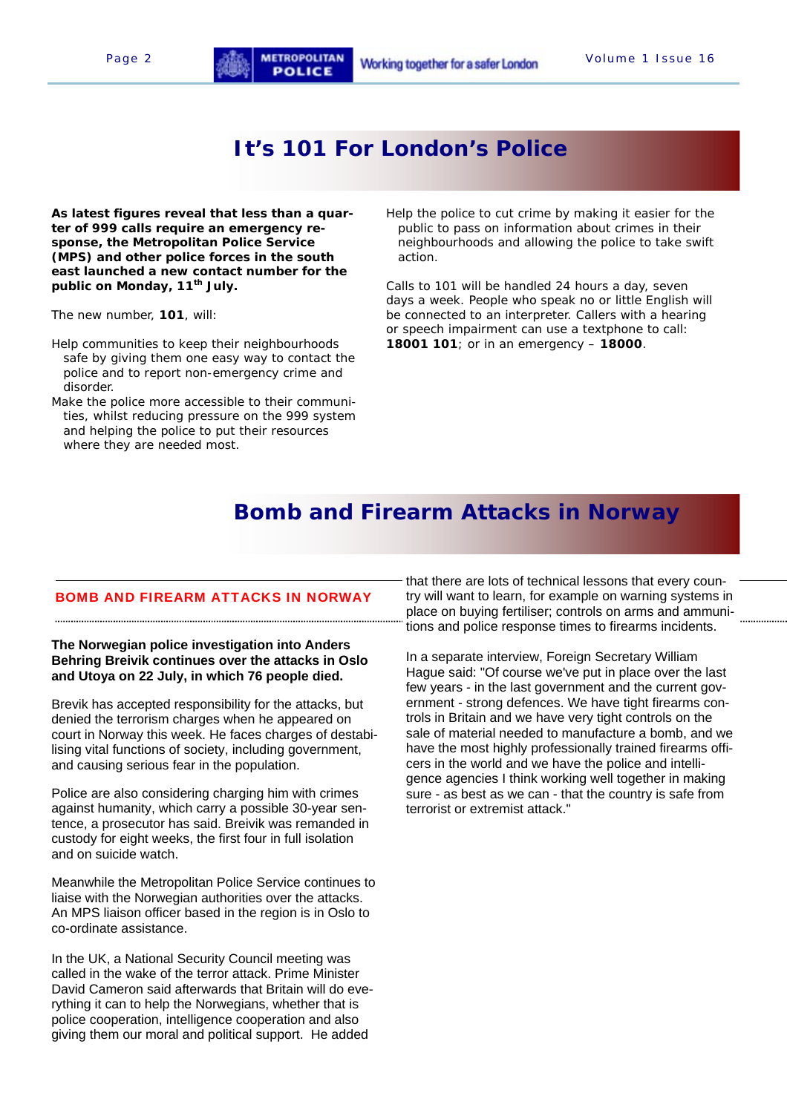## **It's 101 For London's Police**

**As latest figures reveal that less than a quarter of 999 calls require an emergency response, the Metropolitan Police Service (MPS) and other police forces in the south east launched a new contact number for the public on Monday, 11th July.** 

The new number, **101**, will:

- Help communities to keep their neighbourhoods safe by giving them one easy way to contact the police and to report non-emergency crime and disorder.
- Make the police more accessible to their communities, whilst reducing pressure on the 999 system and helping the police to put their resources where they are needed most.

Help the police to cut crime by making it easier for the public to pass on information about crimes in their neighbourhoods and allowing the police to take swift action.

Calls to 101 will be handled 24 hours a day, seven days a week. People who speak no or little English will be connected to an interpreter. Callers with a hearing or speech impairment can use a textphone to call: **18001 101**; or in an emergency – **18000**.

## **Bomb and Firearm Attacks in Norway**

#### BOMB AND FIREARM ATTACKS IN NORWAY

#### **The Norwegian police investigation into Anders Behring Breivik continues over the attacks in Oslo and Utoya on 22 July, in which 76 people died.**

Brevik has accepted responsibility for the attacks, but denied the terrorism charges when he appeared on court in Norway this week. He faces charges of destabilising vital functions of society, including government, and causing serious fear in the population.

Police are also considering charging him with crimes against humanity, which carry a possible 30-year sentence, a prosecutor has said. Breivik was remanded in custody for eight weeks, the first four in full isolation and on suicide watch.

Meanwhile the Metropolitan Police Service continues to liaise with the Norwegian authorities over the attacks. An MPS liaison officer based in the region is in Oslo to co-ordinate assistance.

In the UK, a National Security Council meeting was called in the wake of the terror attack. Prime Minister David Cameron said afterwards that Britain will do everything it can to help the Norwegians, whether that is police cooperation, intelligence cooperation and also giving them our moral and political support. He added

that there are lots of technical lessons that every country will want to learn, for example on warning systems in place on buying fertiliser; controls on arms and ammunitions and police response times to firearms incidents.

. . . . . . . . . . . . . . . . .

In a separate interview, Foreign Secretary William Hague said: "Of course we've put in place over the last few years - in the last government and the current government - strong defences. We have tight firearms controls in Britain and we have very tight controls on the sale of material needed to manufacture a bomb, and we have the most highly professionally trained firearms officers in the world and we have the police and intelligence agencies I think working well together in making sure - as best as we can - that the country is safe from terrorist or extremist attack."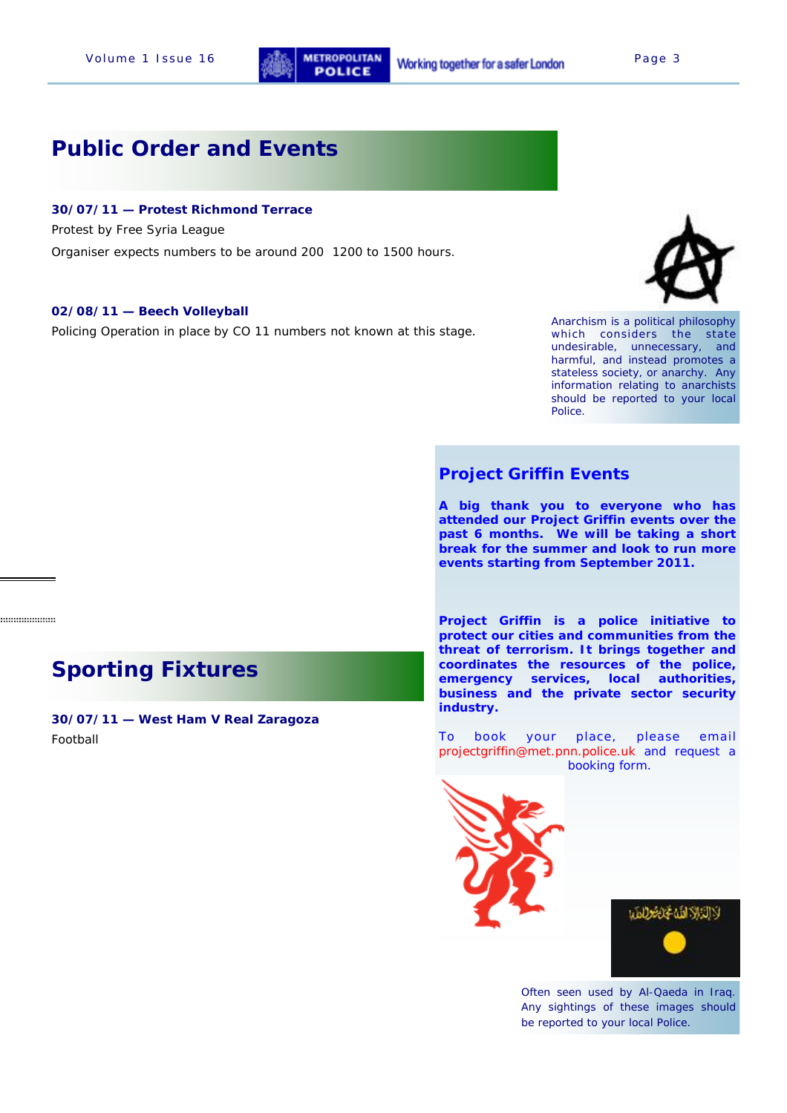

# **Public Order and Events**

### **30/07/11 — Protest Richmond Terrace**

Protest by Free Syria League

Organiser expects numbers to be around 200 1200 to 1500 hours.

#### **02/08/11 — Beech Volleyball**

Policing Operation in place by CO 11 numbers not known at this stage.



Anarchism is a political philosophy which considers the state undesirable, unnecessary, and harmful, and instead promotes a stateless society, or anarchy. Any information relating to anarchists should be reported to your local Police.

### **Project Griffin Events**

**A big thank you to everyone who has attended our Project Griffin events over the past 6 months. We will be taking a short break for the summer and look to run more events starting from September 2011.** 

**Project Griffin is a police initiative to protect our cities and communities from the threat of terrorism. It brings together and coordinates the resources of the police, emergency services, local authorities, business and the private sector security industry.**

To book your place, please email projectgriffin@met.pnn.police.uk and request a booking form.





Often seen used by Al-Qaeda in Iraq. Any sightings of these images should be reported to your local Police.

# **Sporting Fixtures**

...................

**30/07/11 — West Ham V Real Zaragoza**  Football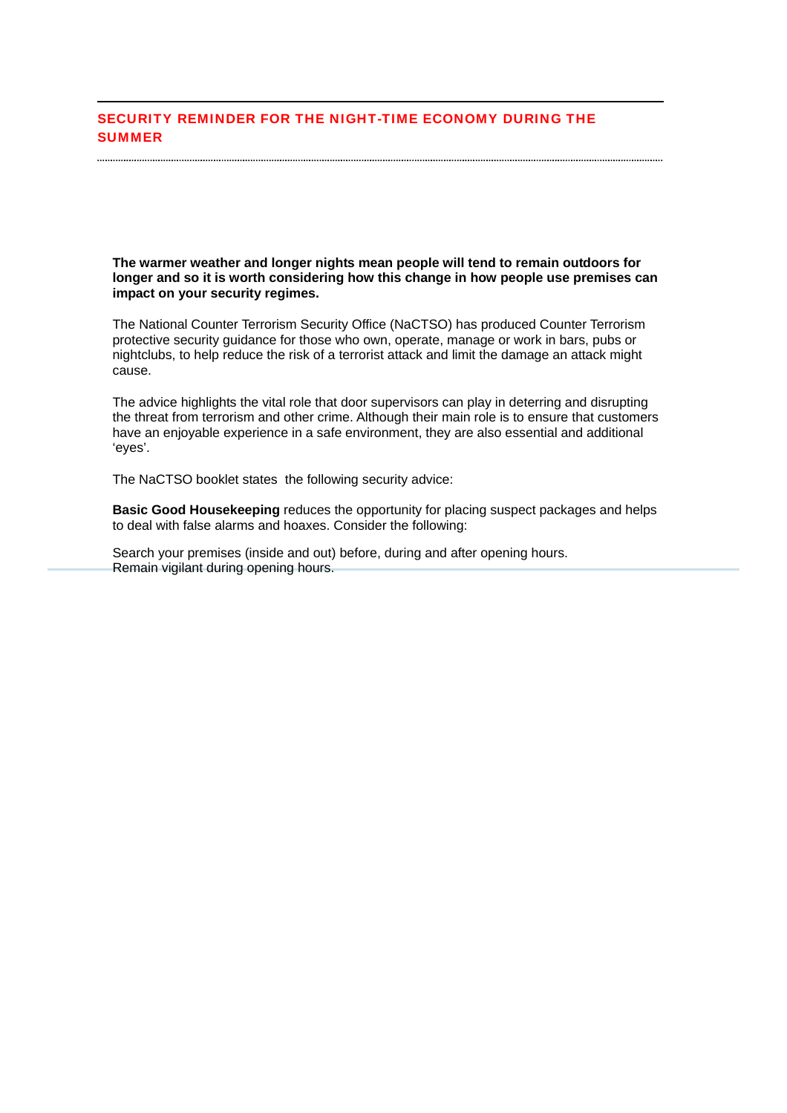### SECURITY REMINDER FOR THE NIGHT-TIME ECONOMY DURING THE SUMMER

**The warmer weather and longer nights mean people will tend to remain outdoors for longer and so it is worth considering how this change in how people use premises can impact on your security regimes.** 

The National Counter Terrorism Security Office (NaCTSO) has produced Counter Terrorism protective security guidance for those who own, operate, manage or work in bars, pubs or nightclubs, to help reduce the risk of a terrorist attack and limit the damage an attack might cause.

The advice highlights the vital role that door supervisors can play in deterring and disrupting the threat from terrorism and other crime. Although their main role is to ensure that customers have an enjoyable experience in a safe environment, they are also essential and additional 'eyes'.

The NaCTSO booklet states the following security advice:

..................................

**Basic Good Housekeeping** reduces the opportunity for placing suspect packages and helps to deal with false alarms and hoaxes. Consider the following:

Search your premises (inside and out) before, during and after opening hours. Remain vigilant during opening hours.